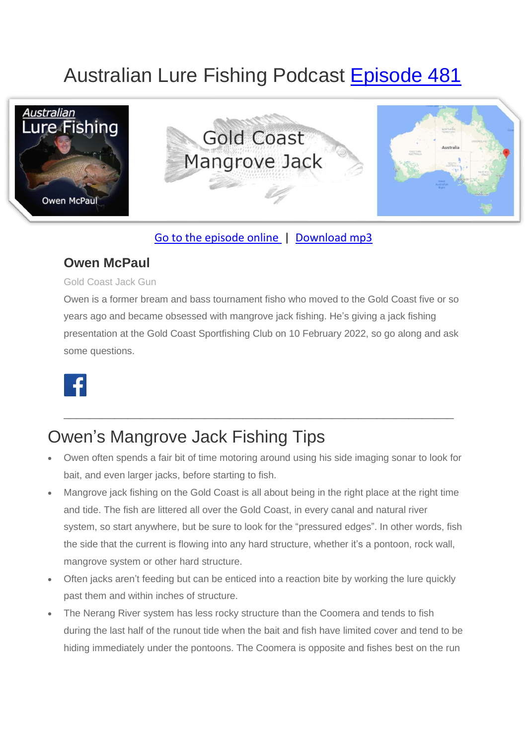# Australian Lure Fishing Podcast [Episode 481](https://doclures.com/gold-coast-mangrove-jack-owen-mcpaul/)



### [Go to the episode online](https://doclures.com/gold-coast-mangrove-jack-owen-mcpaul/) | [Download mp3](https://traffic.libsyn.com/doclures/481-gold-coast-mangrove-jack-owen-mcpaul.mp3)

### **Owen McPaul**

#### Gold Coast Jack Gun

Owen is a former bream and bass tournament fisho who moved to the Gold Coast five or so years ago and became obsessed with mangrove jack fishing. He's giving a jack fishing presentation at the Gold Coast Sportfishing Club on 10 February 2022, so go along and ask some questions.



## Owen's Mangrove Jack Fishing Tips

• Owen often spends a fair bit of time motoring around using his side imaging sonar to look for bait, and even larger jacks, before starting to fish.

\_\_\_\_\_\_\_\_\_\_\_\_\_\_\_\_\_\_\_\_\_\_\_\_\_\_\_\_\_\_\_\_\_\_\_\_\_\_\_\_\_\_\_\_\_\_\_\_\_\_\_\_\_\_\_\_\_\_\_\_\_

- Mangrove jack fishing on the Gold Coast is all about being in the right place at the right time and tide. The fish are littered all over the Gold Coast, in every canal and natural river system, so start anywhere, but be sure to look for the "pressured edges". In other words, fish the side that the current is flowing into any hard structure, whether it's a pontoon, rock wall, mangrove system or other hard structure.
- Often jacks aren't feeding but can be enticed into a reaction bite by working the lure quickly past them and within inches of structure.
- The Nerang River system has less rocky structure than the Coomera and tends to fish during the last half of the runout tide when the bait and fish have limited cover and tend to be hiding immediately under the pontoons. The Coomera is opposite and fishes best on the run